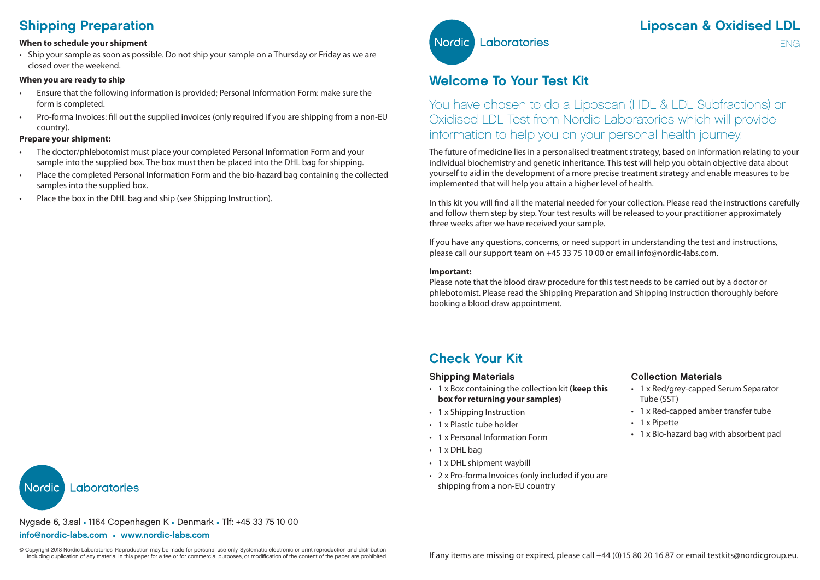# Shipping Preparation

#### **When to schedule your shipment**

• Ship your sample as soon as possible. Do not ship your sample on a Thursday or Friday as we are closed over the weekend.

### **When you are ready to ship**

- Ensure that the following information is provided; Personal Information Form: make sure the form is completed.
- Pro-forma Invoices: fill out the supplied invoices (only required if you are shipping from a non-EU country).

#### **Prepare your shipment:**

- The doctor/phlebotomist must place your completed Personal Information Form and your sample into the supplied box. The box must then be placed into the DHL bag for shipping.
- Place the completed Personal Information Form and the bio-hazard bag containing the collected samples into the supplied box.
- Place the box in the DHL bag and ship (see Shipping Instruction).



ENG

## Welcome To Your Test Kit

You have chosen to do a Liposcan (HDL & LDL Subfractions) or Oxidised LDL Test from Nordic Laboratories which will provide information to help you on your personal health journey.

The future of medicine lies in a personalised treatment strategy, based on information relating to your individual biochemistry and genetic inheritance. This test will help you obtain objective data about yourself to aid in the development of a more precise treatment strategy and enable measures to be implemented that will help you attain a higher level of health.

In this kit you will find all the material needed for your collection. Please read the instructions carefully and follow them step by step. Your test results will be released to your practitioner approximately three weeks after we have received your sample.

If you have any questions, concerns, or need support in understanding the test and instructions, please call our support team on +45 33 75 10 00 or email info@nordic-labs.com.

#### **Important:**

Please note that the blood draw procedure for this test needs to be carried out by a doctor or phlebotomist. Please read the Shipping Preparation and Shipping Instruction thoroughly before booking a blood draw appointment.

## Check Your Kit

### Shipping Materials

- 1 x Box containing the collection kit **(keep this box for returning your samples)**
- 1 x Shipping Instruction
- 1 x Plastic tube holder
- 1 x Personal Information Form
- 1 x DHL bag
- 1 x DHL shipment waybill
- 2 x Pro-forma Invoices (only included if you are shipping from a non-EU country

### Collection Materials

- 1 x Red/grey-capped Serum Separator Tube (SST)
- 1 x Red-capped amber transfer tube
- 1 x Pipette
- 1 x Bio-hazard bag with absorbent pad

Laboratories **Nordic** 

Nygade 6, 3.sal • 1164 Copenhagen K • Denmark • Tlf: +45 33 75 10 00

#### info@nordic-labs.com • www.nordic-labs.com

© Copyright 2018 Nordic Laboratories. Reproduction may be made for personal use only. Systematic electronic or print reproduction and distribution<br>including duplication of any material in this paper for a fee or for commer including duplication of any material in this paper for a fee or for commercial purposes, or modification of the content of the paper are prohibited.